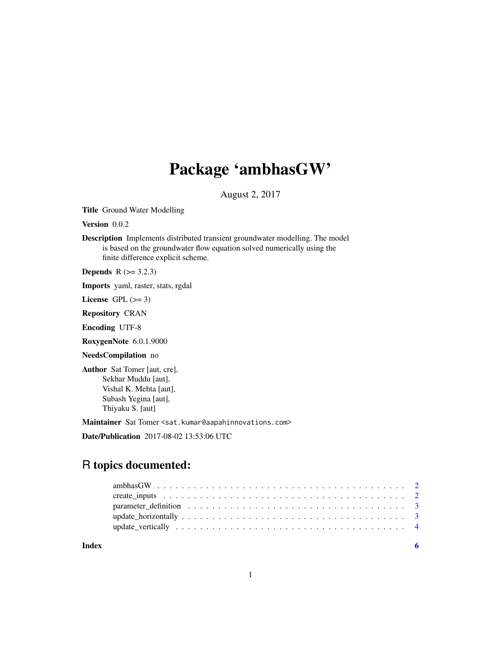## Package 'ambhasGW'

August 2, 2017

Title Ground Water Modelling

Version 0.0.2

Description Implements distributed transient groundwater modelling. The model is based on the groundwater flow equation solved numerically using the finite difference explicit scheme.

**Depends**  $R$  ( $>= 3.2.3$ )

Imports yaml, raster, stats, rgdal

License GPL  $(>= 3)$ 

Repository CRAN

Encoding UTF-8

RoxygenNote 6.0.1.9000

NeedsCompilation no

Author Sat Tomer [aut, cre], Sekhar Muddu [aut], Vishal K. Mehta [aut], Subash Yegina [aut], Thiyaku S. [aut]

Maintainer Sat Tomer <sat.kumar@aapahinnovations.com>

Date/Publication 2017-08-02 13:53:06 UTC

### R topics documented:

| Index |  |
|-------|--|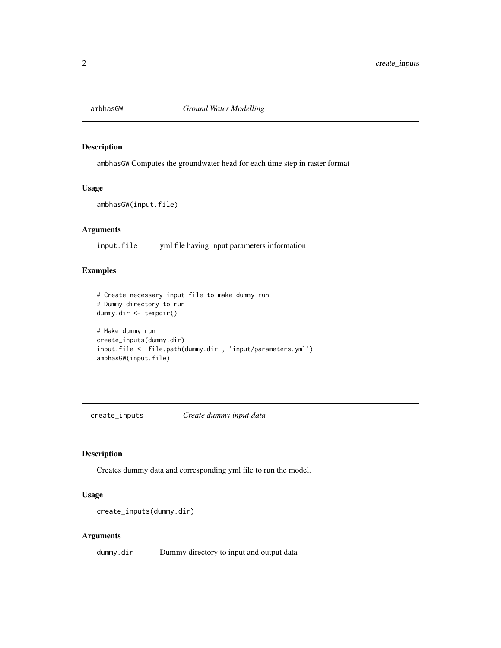<span id="page-1-0"></span>

#### Description

ambhasGW Computes the groundwater head for each time step in raster format

#### Usage

ambhasGW(input.file)

#### Arguments

input.file yml file having input parameters information

#### Examples

```
# Create necessary input file to make dummy run
# Dummy directory to run
dummy.dir <- tempdir()
# Make dummy run
create_inputs(dummy.dir)
input.file <- file.path(dummy.dir , 'input/parameters.yml')
ambhasGW(input.file)
```
create\_inputs *Create dummy input data*

#### Description

Creates dummy data and corresponding yml file to run the model.

#### Usage

```
create_inputs(dummy.dir)
```
#### Arguments

dummy.dir Dummy directory to input and output data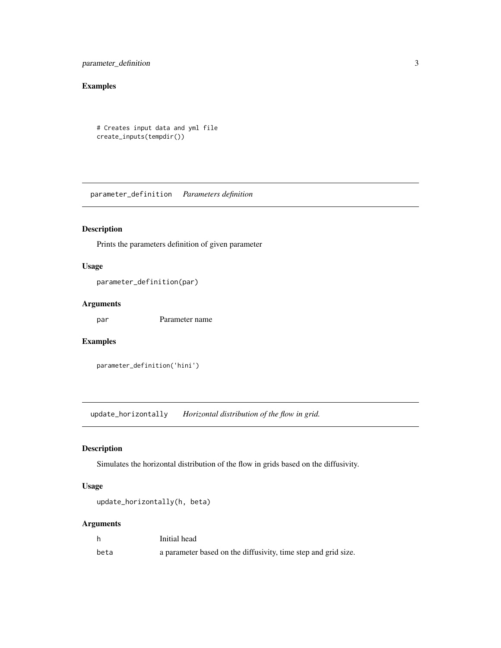<span id="page-2-0"></span>parameter\_definition 3

#### Examples

```
# Creates input data and yml file
create_inputs(tempdir())
```
parameter\_definition *Parameters definition*

#### Description

Prints the parameters definition of given parameter

#### Usage

parameter\_definition(par)

#### Arguments

par Parameter name

#### Examples

```
parameter_definition('hini')
```
update\_horizontally *Horizontal distribution of the flow in grid.*

#### Description

Simulates the horizontal distribution of the flow in grids based on the diffusivity.

#### Usage

```
update_horizontally(h, beta)
```
#### Arguments

|      | Initial head                                                   |
|------|----------------------------------------------------------------|
| beta | a parameter based on the diffusivity, time step and grid size. |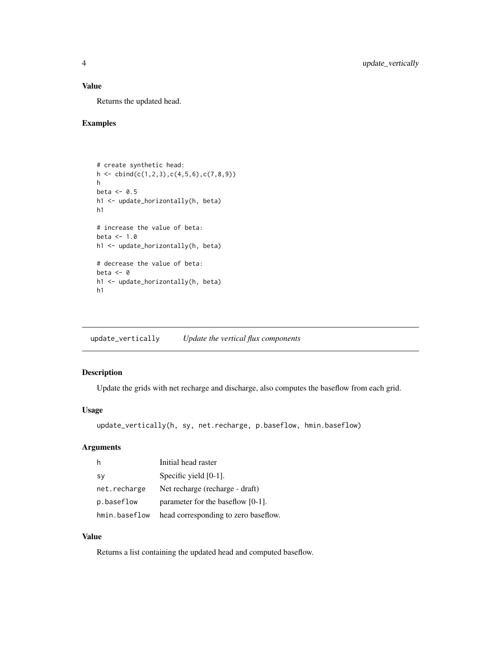#### <span id="page-3-0"></span>Value

Returns the updated head.

#### Examples

```
# create synthetic head:
h \leftarrow \text{cbind}(c(1,2,3),c(4,5,6),c(7,8,9))h
beta <-0.5h1 <- update_horizontally(h, beta)
h1
# increase the value of beta:
beta <-1.0h1 <- update_horizontally(h, beta)
# decrease the value of beta:
beta <-0h1 <- update_horizontally(h, beta)
h1
```
update\_vertically *Update the vertical flux components*

#### Description

Update the grids with net recharge and discharge, also computes the baseflow from each grid.

#### Usage

```
update_vertically(h, sy, net.recharge, p.baseflow, hmin.baseflow)
```
#### Arguments

|               | Initial head raster                  |
|---------------|--------------------------------------|
| <b>SV</b>     | Specific yield $[0-1]$ .             |
| net.recharge  | Net recharge (recharge - draft)      |
| p.baseflow    | parameter for the baseflow $[0-1]$ . |
| hmin.baseflow | head corresponding to zero baseflow. |

#### Value

Returns a list containing the updated head and computed baseflow.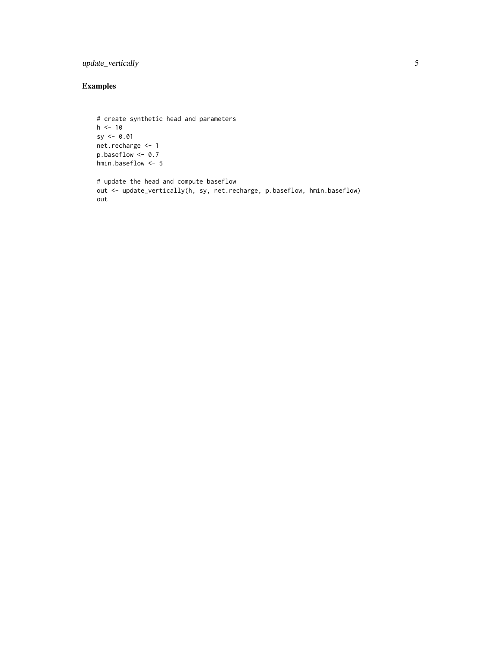#### update\_vertically 5

#### Examples

out

```
# create synthetic head and parameters
h < -10sy < -0.01net.recharge <- 1
p.baseflow <- 0.7
hmin.baseflow <- 5
# update the head and compute baseflow
out <- update_vertically(h, sy, net.recharge, p.baseflow, hmin.baseflow)
```